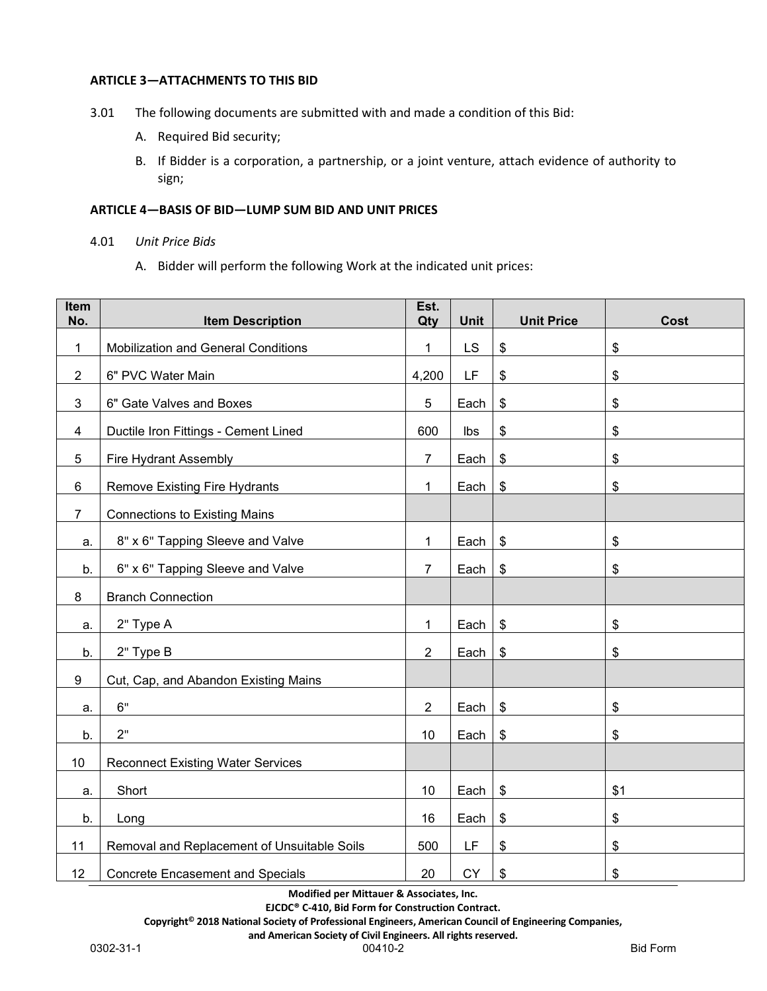## **ARTICLE 3—ATTACHMENTS TO THIS BID**

- 3.01 The following documents are submitted with and made a condition of this Bid:
	- A. Required Bid security;
	- B. If Bidder is a corporation, a partnership, or a joint venture, attach evidence of authority to sign;

## **ARTICLE 4—BASIS OF BID—LUMP SUM BID AND UNIT PRICES**

- 4.01 *Unit Price Bids*
	- A. Bidder will perform the following Work at the indicated unit prices:

| Item<br>No.    | <b>Item Description</b>                     | Est.<br>Qty    | <b>Unit</b> | <b>Unit Price</b>         | Cost |
|----------------|---------------------------------------------|----------------|-------------|---------------------------|------|
| $\mathbf{1}$   | <b>Mobilization and General Conditions</b>  | 1              | LS          | $\boldsymbol{\mathsf{S}}$ | \$   |
| $\overline{2}$ | 6" PVC Water Main                           | 4,200          | LF          | \$                        | \$   |
| 3              | 6" Gate Valves and Boxes                    | 5              | Each        | \$                        | \$   |
| 4              | Ductile Iron Fittings - Cement Lined        | 600            | Ibs         | \$                        | \$   |
| 5              | Fire Hydrant Assembly                       | $\overline{7}$ | Each        | $\sqrt[6]{\frac{1}{2}}$   | \$   |
| 6              | <b>Remove Existing Fire Hydrants</b>        | $\mathbf{1}$   | Each        | $\sqrt[6]{3}$             | \$   |
| $\overline{7}$ | <b>Connections to Existing Mains</b>        |                |             |                           |      |
|                | 8" x 6" Tapping Sleeve and Valve            | 1              | Each        | $\frac{3}{2}$             | \$   |
| a.             | 6" x 6" Tapping Sleeve and Valve            | $\overline{7}$ | Each        | $\sqrt[6]{\frac{1}{2}}$   | \$   |
| b.             |                                             |                |             |                           |      |
| 8              | <b>Branch Connection</b>                    |                |             |                           |      |
| a.             | 2" Type A                                   | $\mathbf{1}$   | Each        | $\sqrt[6]{\frac{1}{2}}$   | \$   |
| b.             | 2" Type B                                   | $\overline{2}$ | Each        | $\sqrt[6]{\frac{1}{2}}$   | \$   |
| 9              | Cut, Cap, and Abandon Existing Mains        |                |             |                           |      |
| a.             | 6"                                          | $\overline{2}$ | Each        | $\sqrt[6]{3}$             | \$   |
| b.             | 2"                                          | 10             | Each        | $\boldsymbol{\mathsf{S}}$ | \$   |
| 10             | <b>Reconnect Existing Water Services</b>    |                |             |                           |      |
| a.             | Short                                       | 10             | Each        | $\frac{1}{2}$             | \$1  |
| b.             | Long                                        | 16             | Each        | $\boldsymbol{\theta}$     | \$   |
| 11             | Removal and Replacement of Unsuitable Soils | 500            | LF          | \$                        | \$   |
| 12             | <b>Concrete Encasement and Specials</b>     | 20             | <b>CY</b>   | \$                        | \$   |

**Modified per Mittauer & Associates, Inc.**

**EJCDC® C-410, Bid Form for Construction Contract.**

**Copyright© 2018 National Society of Professional Engineers, American Council of Engineering Companies,**

**and American Society of Civil Engineers. All rights reserved.**